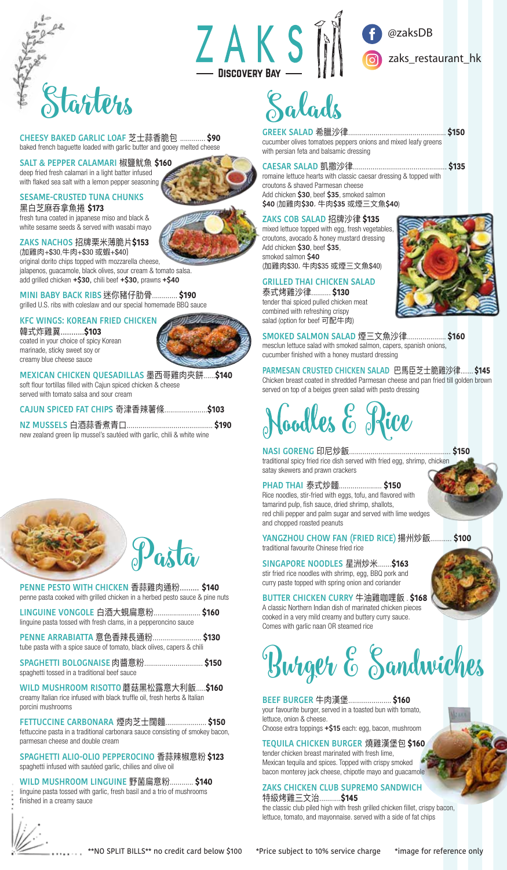

**CHEESY BAKED GARLIC LOAF** 芝士蒜香脆包 ............. **\$90** baked french baguette loaded with garlic butter and gooey melted cheese

# **SALT & PEPPER CALAMARI** 椒鹽魷魚 **\$160**

deep fried fresh calamari in a light batter infused with flaked sea salt with a lemon pepper seasoning

# **SESAME-CRUSTED TUNA CHUNKS**

黑白芝麻吞拿魚捲 **\$173**  fresh tuna coated in japanese miso and black & white sesame seeds & served with wasabi mayo

# **ZAKS NACHOS** 招牌栗米薄脆片**\$153**

(加雞肉+\$30,牛肉+\$30 或蝦+\$40) original dorito chips topped with mozzarella cheese, jalapenos, guacamole, black olives, sour cream & tomato salsa. add grilled chicken **+\$30**, chili beef **+\$30**, prawns **+\$40**

**MINI BABY BACK RIBS** 迷你豬仔肋骨............. **\$190** grilled U.S. ribs with coleslaw and our special homemade BBQ sauce

### **KFC WINGS: KOREAN FRIED CHICKEN**

韓式炸雞翼...........**\$103** coated in your choice of spicy Korean marinade, sticky sweet soy or creamy blue cheese sauce



**MEXICAN CHICKEN QUESADILLAS** 墨西哥雞肉夾餅......**\$140** soft flour tortillas filled with Cajun spiced chicken & cheese served with tomato salsa and sour cream

**CAJUN SPICED FAT CHIPS** 奇津香辣薯條......................**\$103**

**NZ MUSSELS** 白酒蒜香煮青口............................................ **\$190** new zealand green lip mussel's sautéed with garlic, chili & white wine



**PENNE PESTO WITH CHICKEN** 香蒜雞肉通粉......... **\$140** penne pasta cooked with grilled chicken in a herbed pesto sauce & pine nuts **LINGUINE VONGOLE** 白酒大蜆扁意粉........................ **\$160** linguine pasta tossed with fresh clams, in a pepperoncino sauce **PENNE ARRABIATTA** 意色香辣長通粉......................... **\$130** tube pasta with a spice sauce of tomato, black olives, capers & chili **SPAGHETTI BOLOGNAISE** 肉醬意粉.............................. **\$150** spaghetti tossed in a traditional beef sauce **WILD MUSHROOM RISOTTO** 蘑菇黑松露意大利飯.....**\$160**

creamy Italian rice infused with black truffle oil, fresh herbs & Italian porcini mushrooms

**FETTUCCINE CARBONARA** 煙肉芝士闊麵..................... **\$150** fettuccine pasta in a traditional carbonara sauce consisting of smokey bacon, parmesan cheese and double cream

**SPAGHETTI ALIO-OLIO PEPPEROCINO** 香蒜辣椒意粉 **\$123** spaghetti infused with sautéed garlic, chilies and olive oil

**WILD MUSHROOM LINGUINE** 野菌扁意粉............ **\$140** linguine pasta tossed with garlic, fresh basil and a trio of mushrooms finished in a creamy sauce

ZAKSM **NISCOVERY RAY -**



# Salads

**GREEK SALAD** 希臘沙律.................................................. **\$150** cucumber olives tomatoes peppers onions and mixed leafy greens with persian feta and balsamic dressing

# **CAESAR SALAD** 凱撒沙律................................................ **\$135**

romaine lettuce hearts with classic caesar dressing & topped with croutons & shaved Parmesan cheese Add chicken **\$30**, beef **\$35**, smoked salmon **\$40** (加雞肉**\$30**, 牛肉**\$35** 或煙三文魚**\$40**)

### **ZAKS COB SALAD** 招牌沙律 **\$135**

mixed lettuce topped with egg, fresh vegetables, croutons, avocado & honey mustard dressing Add chicken **\$30**, beef **\$35**, smoked salmon **\$40** (加雞肉\$30, 牛肉\$35 或煙三文魚\$40)

# **GRILLED THAI CHICKEN SALAD**

泰式烤雞沙律.......... **\$130** tender thai spiced pulled chicken meat combined with refreshing crispy salad (option for beef 可配牛肉)

**SMOKED SALMON SALAD** 煙三文魚沙律.................... **\$160** mesclun lettuce salad with smoked salmon, capers, spanish onions, cucumber finished with a honey mustard dressing

**PARMESAN CRUSTED CHICKEN SALAD** 巴馬臣芝士脆雞沙律....... **\$145** Chicken breast coated in shredded Parmesan cheese and pan fried till golden brown served on top of a beiges green salad with pesto dressing

# oodles E Rice

**NASI GORENG** 印尼炒飯.................................................... **\$150** traditional spicy fried rice dish served with fried egg, shrimp, chicken satay skewers and prawn crackers

# **PHAD THAI** 泰式炒麵...................... **\$150**

Rice noodles, stir-fried with eggs, tofu, and flavored with tamarind pulp, fish sauce, dried shrimp, shallots, red chili pepper and palm sugar and served with lime wedges and chopped roasted peanuts

**YANGZHOU CHOW FAN (FRIED RICE)** 揚州炒飯........... **\$100** traditional favourite Chinese fried rice

**SINGAPORE NOODLES** 星洲炒米.......**\$163** stir fried rice noodles with shrimp, egg, BBQ pork and curry paste topped with spring onion and coriander

**BUTTER CHICKEN CURRY** 牛油雞咖哩飯 . **\$168** A classic Northern Indian dish of marinated chicken pieces cooked in a very mild creamy and buttery curry sauce. Comes with garlic naan OR steamed rice

Burger & Sandwiches

**BEEF BURGER** 牛肉漢堡...................... **\$160** your favourite burger, served in a toasted bun with tomato, lettuce, onion & cheese.

Choose extra toppings **+\$15** each: egg, bacon, mushroom

**TEQUILA CHICKEN BURGER** 燒雞漢堡包 **\$160** tender chicken breast marinated with fresh lime, Mexican tequila and spices. Topped with crispy smoked bacon monterey jack cheese, chipotle mayo and guacamole

# **ZAKS CHICKEN CLUB SUPREMO SANDWICH** 特級烤雞三文治...........**\$145**

the classic club piled high with fresh grilled chicken fillet, crispy bacon, lettuce, tomato, and mayonnaise. served with a side of fat chips